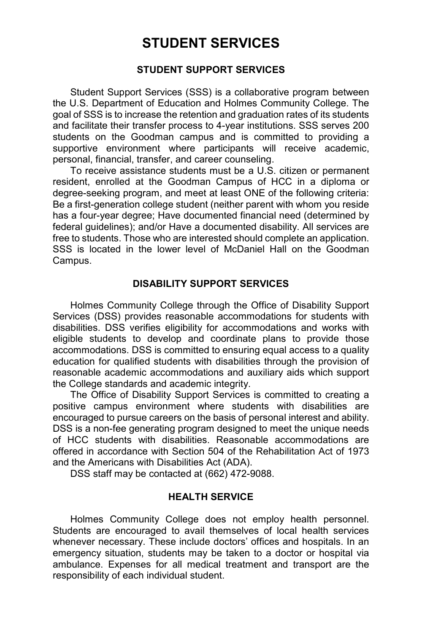# **STUDENT SERVICES**

#### **STUDENT SUPPORT SERVICES**

Student Support Services (SSS) is a collaborative program between the U.S. Department of Education and Holmes Community College. The goal of SSS is to increase the retention and graduation rates of its students and facilitate their transfer process to 4-year institutions. SSS serves 200 students on the Goodman campus and is committed to providing a supportive environment where participants will receive academic, personal, financial, transfer, and career counseling.

To receive assistance students must be a U.S. citizen or permanent resident, enrolled at the Goodman Campus of HCC in a diploma or degree-seeking program, and meet at least ONE of the following criteria: Be a first-generation college student (neither parent with whom you reside has a four-year degree; Have documented financial need (determined by federal guidelines); and/or Have a documented disability. All services are free to students. Those who are interested should complete an application. SSS is located in the lower level of McDaniel Hall on the Goodman Campus.

#### **DISABILITY SUPPORT SERVICES**

Holmes Community College through the Office of Disability Support Services (DSS) provides reasonable accommodations for students with disabilities. DSS verifies eligibility for accommodations and works with eligible students to develop and coordinate plans to provide those accommodations. DSS is committed to ensuring equal access to a quality education for qualified students with disabilities through the provision of reasonable academic accommodations and auxiliary aids which support the College standards and academic integrity.

The Office of Disability Support Services is committed to creating a positive campus environment where students with disabilities are encouraged to pursue careers on the basis of personal interest and ability. DSS is a non-fee generating program designed to meet the unique needs of HCC students with disabilities. Reasonable accommodations are offered in accordance with Section 504 of the Rehabilitation Act of 1973 and the Americans with Disabilities Act (ADA).

DSS staff may be contacted at (662) 472-9088.

#### **HEALTH SERVICE**

Holmes Community College does not employ health personnel. Students are encouraged to avail themselves of local health services whenever necessary. These include doctors' offices and hospitals. In an emergency situation, students may be taken to a doctor or hospital via ambulance. Expenses for all medical treatment and transport are the responsibility of each individual student.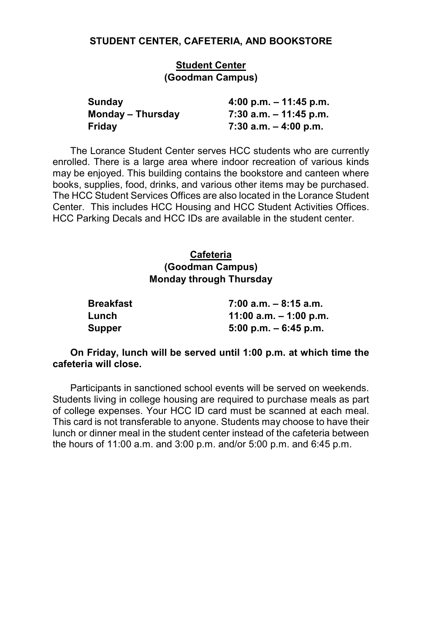#### **STUDENT CENTER, CAFETERIA, AND BOOKSTORE**

#### **Student Center (Goodman Campus)**

| Sunday            | 4:00 p.m. $-$ 11:45 p.m. |
|-------------------|--------------------------|
| Monday – Thursday | 7:30 a.m. – 11:45 p.m.   |
| Friday            | 7:30 a.m. $-$ 4:00 p.m.  |

The Lorance Student Center serves HCC students who are currently enrolled. There is a large area where indoor recreation of various kinds may be enjoyed. This building contains the bookstore and canteen where books, supplies, food, drinks, and various other items may be purchased. The HCC Student Services Offices are also located in the Lorance Student Center. This includes HCC Housing and HCC Student Activities Offices. HCC Parking Decals and HCC IDs are available in the student center.

### **Cafeteria (Goodman Campus) Monday through Thursday**

| <b>Breakfast</b> | $7:00$ a.m. $-8:15$ a.m. |
|------------------|--------------------------|
| Lunch            | 11:00 a.m. $-$ 1:00 p.m. |
| <b>Supper</b>    | $5:00$ p.m. $-6:45$ p.m. |

#### **On Friday, lunch will be served until 1:00 p.m. at which time the cafeteria will close.**

Participants in sanctioned school events will be served on weekends. Students living in college housing are required to purchase meals as part of college expenses. Your HCC ID card must be scanned at each meal. This card is not transferable to anyone. Students may choose to have their lunch or dinner meal in the student center instead of the cafeteria between the hours of 11:00 a.m. and 3:00 p.m. and/or 5:00 p.m. and 6:45 p.m.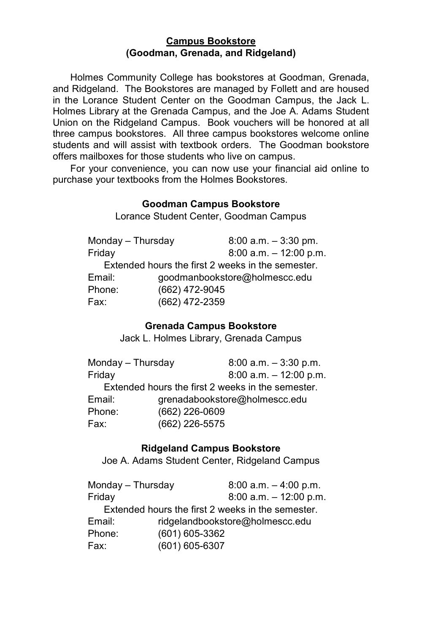#### **Campus Bookstore (Goodman, Grenada, and Ridgeland)**

Holmes Community College has bookstores at Goodman, Grenada, and Ridgeland. The Bookstores are managed by Follett and are housed in the Lorance Student Center on the Goodman Campus, the Jack L. Holmes Library at the Grenada Campus, and the Joe A. Adams Student Union on the Ridgeland Campus. Book vouchers will be honored at all three campus bookstores. All three campus bookstores welcome online students and will assist with textbook orders. The Goodman bookstore offers mailboxes for those students who live on campus.

For your convenience, you can now use your financial aid online to purchase your textbooks from the Holmes Bookstores.

# **Goodman Campus Bookstore**

Lorance Student Center, Goodman Campus

| $8:00$ a.m. $-3:30$ pm.                           |
|---------------------------------------------------|
| $8:00$ a.m. $-12:00$ p.m.                         |
| Extended hours the first 2 weeks in the semester. |
| goodmanbookstore@holmescc.edu                     |
| (662) 472-9045                                    |
| (662) 472-2359                                    |
|                                                   |

# **Grenada Campus Bookstore**

Jack L. Holmes Library, Grenada Campus

| Monday - Thursday |                | $8:00$ a.m. $-3:30$ p.m.                          |
|-------------------|----------------|---------------------------------------------------|
| Friday            |                | $8:00$ a.m. $-12:00$ p.m.                         |
|                   |                | Extended hours the first 2 weeks in the semester. |
| Email:            |                | grenadabookstore@holmescc.edu                     |
| Phone:            | (662) 226-0609 |                                                   |
| Fax:              | (662) 226-5575 |                                                   |

#### **Ridgeland Campus Bookstore**

Joe A. Adams Student Center, Ridgeland Campus

| Monday - Thursday |                | $8:00$ a.m. $-4:00$ p.m.                          |
|-------------------|----------------|---------------------------------------------------|
| Friday            |                | $8:00$ a.m. $-12:00$ p.m.                         |
|                   |                | Extended hours the first 2 weeks in the semester. |
| Email:            |                | ridgelandbookstore@holmescc.edu                   |
| Phone:            | (601) 605-3362 |                                                   |
| Fax:              | (601) 605-6307 |                                                   |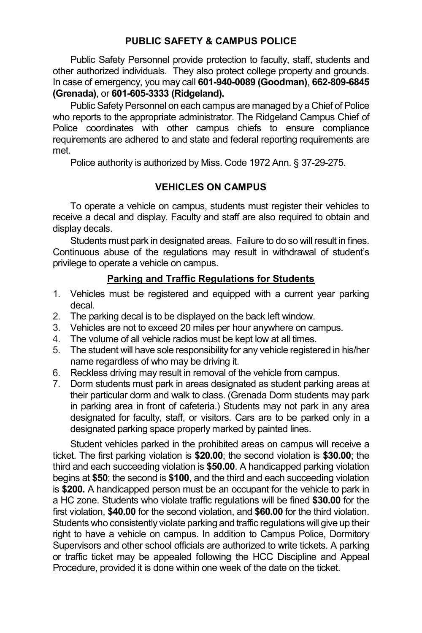#### **PUBLIC SAFETY & CAMPUS POLICE**

Public Safety Personnel provide protection to faculty, staff, students and other authorized individuals. They also protect college property and grounds. In case of emergency, you may call **601-940-0089 (Goodman)**, **662-809-6845 (Grenada)**, or **601-605-3333 (Ridgeland).**

Public Safety Personnel on each campus are managed by a Chief of Police who reports to the appropriate administrator. The Ridgeland Campus Chief of Police coordinates with other campus chiefs to ensure compliance requirements are adhered to and state and federal reporting requirements are met.

Police authority is authorized by Miss. Code 1972 Ann. § 37-29-275.

# **VEHICLES ON CAMPUS**

To operate a vehicle on campus, students must register their vehicles to receive a decal and display. Faculty and staff are also required to obtain and display decals.

Students must park in designated areas. Failure to do so will result in fines. Continuous abuse of the regulations may result in withdrawal of student's privilege to operate a vehicle on campus.

# **Parking and Traffic Regulations for Students**

- 1. Vehicles must be registered and equipped with a current year parking decal.
- 2. The parking decal is to be displayed on the back left window.
- 3. Vehicles are not to exceed 20 miles per hour anywhere on campus.<br>4. The volume of all vehicle radios must be kept low at all times.
- The volume of all vehicle radios must be kept low at all times.
- 5. The student will have sole responsibility for any vehicle registered in his/her name regardless of who may be driving it.
- 6. Reckless driving may result in removal of the vehicle from campus.
- 7. Dorm students must park in areas designated as student parking areas at their particular dorm and walk to class. (Grenada Dorm students may park in parking area in front of cafeteria.) Students may not park in any area designated for faculty, staff, or visitors. Cars are to be parked only in a designated parking space properly marked by painted lines.

Student vehicles parked in the prohibited areas on campus will receive a ticket. The first parking violation is **\$20.00**; the second violation is **\$30.00**; the third and each succeeding violation is **\$50.00**. A handicapped parking violation begins at **\$50**; the second is **\$100**, and the third and each succeeding violation is **\$200.** A handicapped person must be an occupant for the vehicle to park in a HC zone. Students who violate traffic regulations will be fined **\$30.00** for the first violation, **\$40.00** for the second violation, and **\$60.00** for the third violation. Students who consistently violate parking and traffic regulations will give up their right to have a vehicle on campus. In addition to Campus Police, Dormitory Supervisors and other school officials are authorized to write tickets. A parking or traffic ticket may be appealed following the HCC Discipline and Appeal Procedure, provided it is done within one week of the date on the ticket.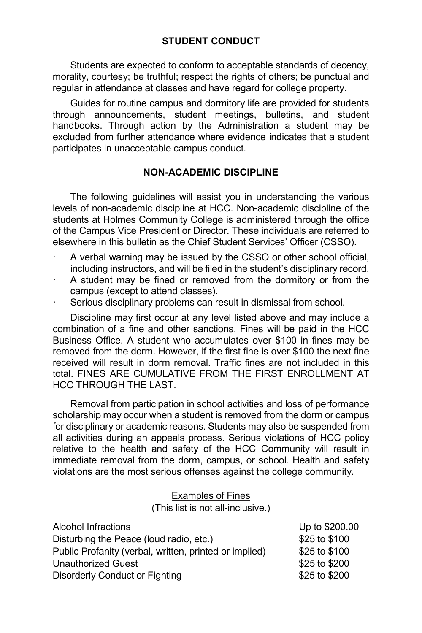### **STUDENT CONDUCT**

Students are expected to conform to acceptable standards of decency, morality, courtesy; be truthful; respect the rights of others; be punctual and regular in attendance at classes and have regard for college property.

Guides for routine campus and dormitory life are provided for students through announcements, student meetings, bulletins, and student handbooks. Through action by the Administration a student may be excluded from further attendance where evidence indicates that a student participates in unacceptable campus conduct.

#### **NON-ACADEMIC DISCIPLINE**

The following guidelines will assist you in understanding the various levels of non-academic discipline at HCC. Non-academic discipline of the students at Holmes Community College is administered through the office of the Campus Vice President or Director. These individuals are referred to elsewhere in this bulletin as the Chief Student Services' Officer (CSSO).

- A verbal warning may be issued by the CSSO or other school official, including instructors, and will be filed in the student's disciplinary record.
- A student may be fined or removed from the dormitory or from the campus (except to attend classes).
- Serious disciplinary problems can result in dismissal from school.

Discipline may first occur at any level listed above and may include a combination of a fine and other sanctions. Fines will be paid in the HCC Business Office. A student who accumulates over \$100 in fines may be removed from the dorm. However, if the first fine is over \$100 the next fine received will result in dorm removal. Traffic fines are not included in this total. FINES ARE CUMULATIVE FROM THE FIRST ENROLLMENT AT HCC THROUGH THE LAST.

Removal from participation in school activities and loss of performance scholarship may occur when a student is removed from the dorm or campus for disciplinary or academic reasons. Students may also be suspended from all activities during an appeals process. Serious violations of HCC policy relative to the health and safety of the HCC Community will result in immediate removal from the dorm, campus, or school. Health and safety violations are the most serious offenses against the college community.

Examples of Fines

(This list is not all-inclusive.)

| Alcohol Infractions                                    | Up to \$200.00 |  |
|--------------------------------------------------------|----------------|--|
| Disturbing the Peace (loud radio, etc.)                | \$25 to \$100  |  |
| Public Profanity (verbal, written, printed or implied) | \$25 to \$100  |  |
| Unauthorized Guest                                     | \$25 to \$200  |  |
| Disorderly Conduct or Fighting                         | \$25 to \$200  |  |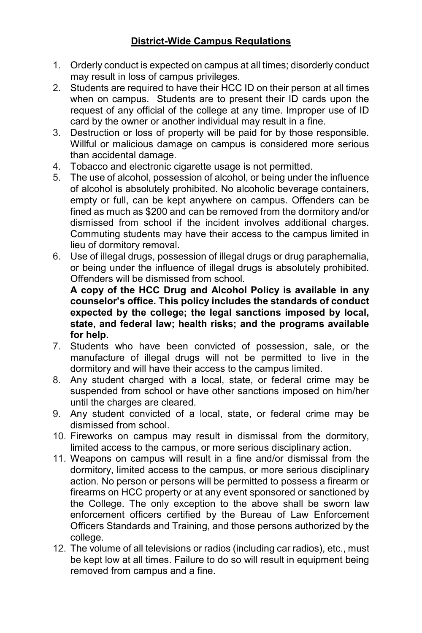# **District-Wide Campus Regulations**

- 1. Orderly conduct is expected on campus at all times; disorderly conduct may result in loss of campus privileges.
- 2. Students are required to have their HCC ID on their person at all times when on campus. Students are to present their ID cards upon the request of any official of the college at any time. Improper use of ID card by the owner or another individual may result in a fine.
- 3. Destruction or loss of property will be paid for by those responsible. Willful or malicious damage on campus is considered more serious than accidental damage.
- 4. Tobacco and electronic cigarette usage is not permitted.
- 5. The use of alcohol, possession of alcohol, or being under the influence of alcohol is absolutely prohibited. No alcoholic beverage containers, empty or full, can be kept anywhere on campus. Offenders can be fined as much as \$200 and can be removed from the dormitory and/or dismissed from school if the incident involves additional charges. Commuting students may have their access to the campus limited in lieu of dormitory removal.
- 6. Use of illegal drugs, possession of illegal drugs or drug paraphernalia, or being under the influence of illegal drugs is absolutely prohibited. Offenders will be dismissed from school.

**A copy of the HCC Drug and Alcohol Policy is available in any counselor's office. This policy includes the standards of conduct expected by the college; the legal sanctions imposed by local, state, and federal law; health risks; and the programs available for help.**

- 7. Students who have been convicted of possession, sale, or the manufacture of illegal drugs will not be permitted to live in the dormitory and will have their access to the campus limited.
- 8. Any student charged with a local, state, or federal crime may be suspended from school or have other sanctions imposed on him/her until the charges are cleared.
- 9. Any student convicted of a local, state, or federal crime may be dismissed from school.
- 10. Fireworks on campus may result in dismissal from the dormitory, limited access to the campus, or more serious disciplinary action.
- 11. Weapons on campus will result in a fine and/or dismissal from the dormitory, limited access to the campus, or more serious disciplinary action. No person or persons will be permitted to possess a firearm or firearms on HCC property or at any event sponsored or sanctioned by the College. The only exception to the above shall be sworn law enforcement officers certified by the Bureau of Law Enforcement Officers Standards and Training, and those persons authorized by the college.
- 12. The volume of all televisions or radios (including car radios), etc., must be kept low at all times. Failure to do so will result in equipment being removed from campus and a fine.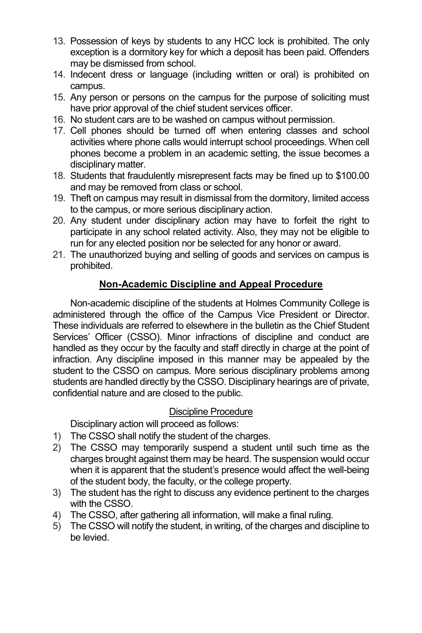- 13. Possession of keys by students to any HCC lock is prohibited. The only exception is a dormitory key for which a deposit has been paid. Offenders may be dismissed from school.
- 14. Indecent dress or language (including written or oral) is prohibited on campus.
- 15. Any person or persons on the campus for the purpose of soliciting must have prior approval of the chief student services officer.
- 16. No student cars are to be washed on campus without permission.
- 17. Cell phones should be turned off when entering classes and school activities where phone calls would interrupt school proceedings. When cell phones become a problem in an academic setting, the issue becomes a disciplinary matter.
- 18. Students that fraudulently misrepresent facts may be fined up to \$100.00 and may be removed from class or school.
- 19. Theft on campus may result in dismissal from the dormitory, limited access to the campus, or more serious disciplinary action.
- 20. Any student under disciplinary action may have to forfeit the right to participate in any school related activity. Also, they may not be eligible to run for any elected position nor be selected for any honor or award.
- 21. The unauthorized buying and selling of goods and services on campus is prohibited.

# **Non-Academic Discipline and Appeal Procedure**

Non-academic discipline of the students at Holmes Community College is administered through the office of the Campus Vice President or Director. These individuals are referred to elsewhere in the bulletin as the Chief Student Services' Officer (CSSO). Minor infractions of discipline and conduct are handled as they occur by the faculty and staff directly in charge at the point of infraction. Any discipline imposed in this manner may be appealed by the student to the CSSO on campus. More serious disciplinary problems among students are handled directly by the CSSO. Disciplinary hearings are of private, confidential nature and are closed to the public.

# Discipline Procedure

Disciplinary action will proceed as follows:

- 1) The CSSO shall notify the student of the charges.
- 2) The CSSO may temporarily suspend a student until such time as the charges brought against them may be heard. The suspension would occur when it is apparent that the student's presence would affect the well-being of the student body, the faculty, or the college property.
- 3) The student has the right to discuss any evidence pertinent to the charges with the CSSO.
- 4) The CSSO, after gathering all information, will make a final ruling.
- 5) The CSSO will notify the student, in writing, of the charges and discipline to be levied.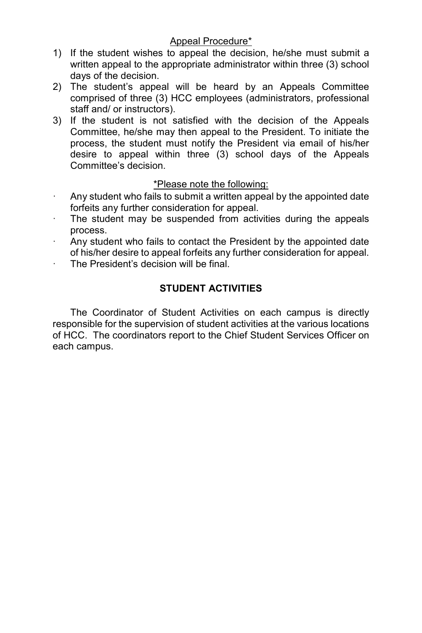### Appeal Procedure\*

- 1) If the student wishes to appeal the decision, he/she must submit a written appeal to the appropriate administrator within three (3) school days of the decision.
- 2) The student's appeal will be heard by an Appeals Committee comprised of three (3) HCC employees (administrators, professional staff and/ or instructors).
- 3) If the student is not satisfied with the decision of the Appeals Committee, he/she may then appeal to the President. To initiate the process, the student must notify the President via email of his/her desire to appeal within three (3) school days of the Appeals Committee's decision.

### \*Please note the following:

- Any student who fails to submit a written appeal by the appointed date forfeits any further consideration for appeal.
- The student may be suspended from activities during the appeals process.
- Any student who fails to contact the President by the appointed date of his/her desire to appeal forfeits any further consideration for appeal.
- The President's decision will be final.

# **STUDENT ACTIVITIES**

The Coordinator of Student Activities on each campus is directly responsible for the supervision of student activities at the various locations of HCC. The coordinators report to the Chief Student Services Officer on each campus.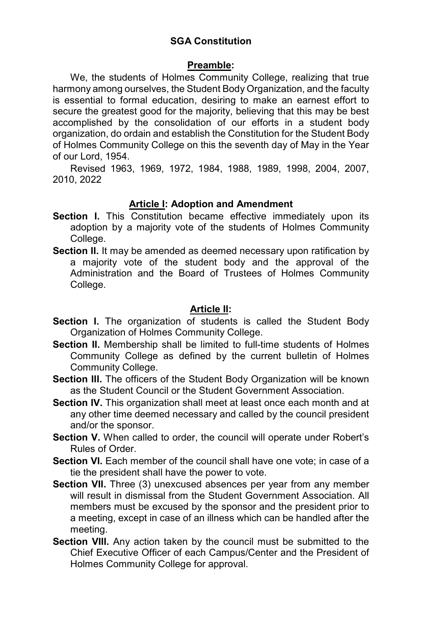# **SGA Constitution**

### **Preamble:**

We, the students of Holmes Community College, realizing that true harmony among ourselves, the Student Body Organization, and the faculty is essential to formal education, desiring to make an earnest effort to secure the greatest good for the majority, believing that this may be best accomplished by the consolidation of our efforts in a student body organization, do ordain and establish the Constitution for the Student Body of Holmes Community College on this the seventh day of May in the Year of our Lord, 1954.

Revised 1963, 1969, 1972, 1984, 1988, 1989, 1998, 2004, 2007, 2010, 2022

# **Article I: Adoption and Amendment**

- **Section I.** This Constitution became effective immediately upon its adoption by a majority vote of the students of Holmes Community College.
- **Section II.** It may be amended as deemed necessary upon ratification by a majority vote of the student body and the approval of the Administration and the Board of Trustees of Holmes Community College.

# **Article II:**

- **Section I.** The organization of students is called the Student Body Organization of Holmes Community College.
- **Section II.** Membership shall be limited to full-time students of Holmes Community College as defined by the current bulletin of Holmes Community College.
- **Section III.** The officers of the Student Body Organization will be known as the Student Council or the Student Government Association.
- **Section IV.** This organization shall meet at least once each month and at any other time deemed necessary and called by the council president and/or the sponsor.
- Section V. When called to order, the council will operate under Robert's Rules of Order.
- **Section VI.** Each member of the council shall have one vote; in case of a tie the president shall have the power to vote.
- **Section VII.** Three (3) unexcused absences per year from any member will result in dismissal from the Student Government Association. All members must be excused by the sponsor and the president prior to a meeting, except in case of an illness which can be handled after the meeting.
- **Section VIII.** Any action taken by the council must be submitted to the Chief Executive Officer of each Campus/Center and the President of Holmes Community College for approval.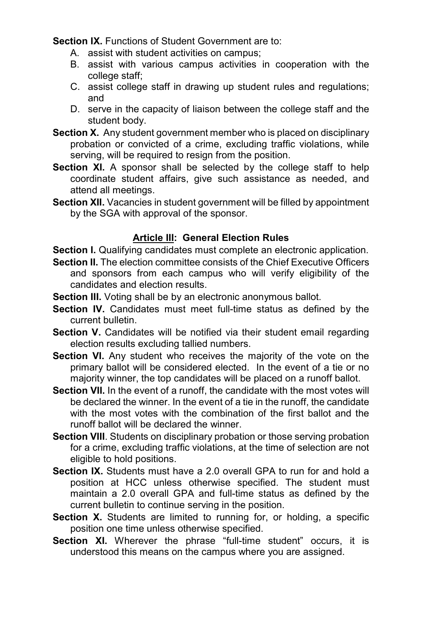**Section IX.** Functions of Student Government are to:

- A. assist with student activities on campus;
- B. assist with various campus activities in cooperation with the college staff;
- C. assist college staff in drawing up student rules and regulations; and
- D. serve in the capacity of liaison between the college staff and the student body.
- **Section X.** Any student government member who is placed on disciplinary probation or convicted of a crime, excluding traffic violations, while serving, will be required to resign from the position.
- **Section XI.** A sponsor shall be selected by the college staff to help coordinate student affairs, give such assistance as needed, and attend all meetings.
- **Section XII.** Vacancies in student government will be filled by appointment by the SGA with approval of the sponsor.

# **Article III: General Election Rules**

**Section I.** Qualifying candidates must complete an electronic application.

- **Section II.** The election committee consists of the Chief Executive Officers and sponsors from each campus who will verify eligibility of the candidates and election results.
- **Section III.** Voting shall be by an electronic anonymous ballot.
- **Section IV.** Candidates must meet full-time status as defined by the current bulletin.
- **Section V.** Candidates will be notified via their student email regarding election results excluding tallied numbers.
- **Section VI.** Any student who receives the majority of the vote on the primary ballot will be considered elected. In the event of a tie or no majority winner, the top candidates will be placed on a runoff ballot.
- **Section VII.** In the event of a runoff, the candidate with the most votes will be declared the winner. In the event of a tie in the runoff, the candidate with the most votes with the combination of the first ballot and the runoff ballot will be declared the winner.
- **Section VIII**. Students on disciplinary probation or those serving probation for a crime, excluding traffic violations, at the time of selection are not eligible to hold positions.
- **Section IX.** Students must have a 2.0 overall GPA to run for and hold a position at HCC unless otherwise specified. The student must maintain a 2.0 overall GPA and full-time status as defined by the current bulletin to continue serving in the position.
- **Section X.** Students are limited to running for, or holding, a specific position one time unless otherwise specified.
- **Section XI.** Wherever the phrase "full-time student" occurs, it is understood this means on the campus where you are assigned.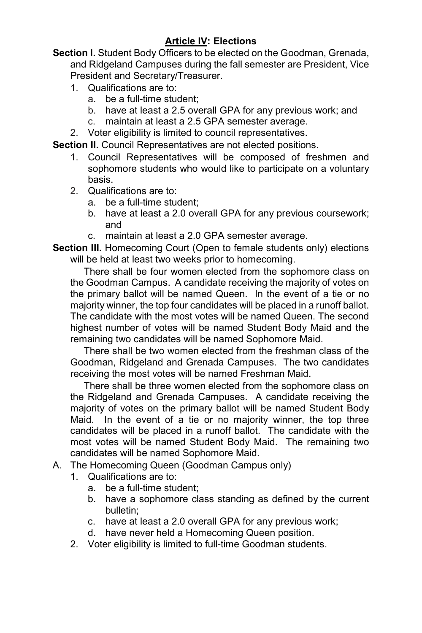# **Article IV: Elections**

**Section I.** Student Body Officers to be elected on the Goodman, Grenada, and Ridgeland Campuses during the fall semester are President, Vice President and Secretary/Treasurer.

- 1. Qualifications are to:
	- a. be a full-time student;
	- b. have at least a 2.5 overall GPA for any previous work; and
	- c. maintain at least a 2.5 GPA semester average.
- 2. Voter eligibility is limited to council representatives.

**Section II.** Council Representatives are not elected positions.

- 1. Council Representatives will be composed of freshmen and sophomore students who would like to participate on a voluntary basis.
- 2. Qualifications are to:
	- a. be a full-time student;
	- b. have at least a 2.0 overall GPA for any previous coursework; and
	- c. maintain at least a 2.0 GPA semester average.
- **Section III.** Homecoming Court (Open to female students only) elections will be held at least two weeks prior to homecoming.

There shall be four women elected from the sophomore class on the Goodman Campus. A candidate receiving the majority of votes on the primary ballot will be named Queen. In the event of a tie or no majority winner, the top four candidates will be placed in a runoff ballot. The candidate with the most votes will be named Queen. The second highest number of votes will be named Student Body Maid and the remaining two candidates will be named Sophomore Maid.

 There shall be two women elected from the freshman class of the Goodman, Ridgeland and Grenada Campuses. The two candidates receiving the most votes will be named Freshman Maid.

 There shall be three women elected from the sophomore class on the Ridgeland and Grenada Campuses. A candidate receiving the majority of votes on the primary ballot will be named Student Body Maid. In the event of a tie or no majority winner, the top three candidates will be placed in a runoff ballot. The candidate with the most votes will be named Student Body Maid. The remaining two candidates will be named Sophomore Maid.

- A. The Homecoming Queen (Goodman Campus only)
	- 1. Qualifications are to:
		- a. be a full-time student;
		- b. have a sophomore class standing as defined by the current bulletin;
		- c. have at least a 2.0 overall GPA for any previous work;
		- d. have never held a Homecoming Queen position.
	- 2. Voter eligibility is limited to full-time Goodman students.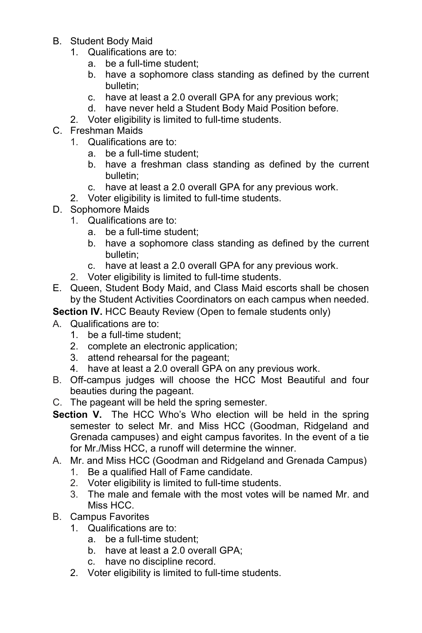- B. Student Body Maid
	- 1. Qualifications are to:
		- a. be a full-time student;
		- b. have a sophomore class standing as defined by the current bulletin;
		- c. have at least a 2.0 overall GPA for any previous work;
		- d. have never held a Student Body Maid Position before.
	- 2. Voter eligibility is limited to full-time students.
- C. Freshman Maids
	- 1. Qualifications are to:
		- a. be a full-time student;
		- b. have a freshman class standing as defined by the current bulletin;
		- c. have at least a 2.0 overall GPA for any previous work.
	- 2. Voter eligibility is limited to full-time students.
- D. Sophomore Maids
	- 1. Qualifications are to:
		- a. be a full-time student;
		- b. have a sophomore class standing as defined by the current bulletin;
		- c. have at least a 2.0 overall GPA for any previous work.
	- 2. Voter eligibility is limited to full-time students.
- E. Queen, Student Body Maid, and Class Maid escorts shall be chosen by the Student Activities Coordinators on each campus when needed.

**Section IV.** HCC Beauty Review (Open to female students only)

- A. Qualifications are to:
	- 1. be a full-time student;
	- 2. complete an electronic application;
	- 3. attend rehearsal for the pageant;
	- 4. have at least a 2.0 overall GPA on any previous work.
- B. Off-campus judges will choose the HCC Most Beautiful and four beauties during the pageant.
- C. The pageant will be held the spring semester.
- **Section V.** The HCC Who's Who election will be held in the spring semester to select Mr. and Miss HCC (Goodman, Ridgeland and Grenada campuses) and eight campus favorites. In the event of a tie for Mr./Miss HCC, a runoff will determine the winner.
- A. Mr. and Miss HCC (Goodman and Ridgeland and Grenada Campus)
	- 1. Be a qualified Hall of Fame candidate.
	- 2. Voter eligibility is limited to full-time students.
	- 3. The male and female with the most votes will be named Mr. and Miss HCC.
- B. Campus Favorites
	- 1. Qualifications are to:
		- a. be a full-time student;
		- b. have at least a 2.0 overall GPA;
		- c. have no discipline record.
	- 2. Voter eligibility is limited to full-time students.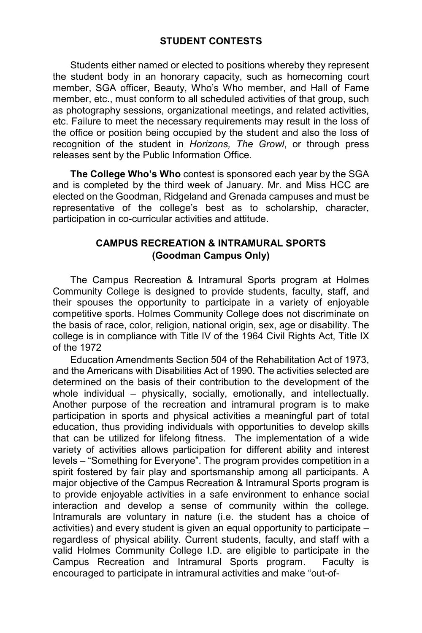### **STUDENT CONTESTS**

Students either named or elected to positions whereby they represent the student body in an honorary capacity, such as homecoming court member, SGA officer, Beauty, Who's Who member, and Hall of Fame member, etc., must conform to all scheduled activities of that group, such as photography sessions, organizational meetings, and related activities, etc. Failure to meet the necessary requirements may result in the loss of the office or position being occupied by the student and also the loss of recognition of the student in *Horizons, The Growl*, or through press releases sent by the Public Information Office.

**The College Who's Who** contest is sponsored each year by the SGA and is completed by the third week of January. Mr. and Miss HCC are elected on the Goodman, Ridgeland and Grenada campuses and must be representative of the college's best as to scholarship, character, participation in co-curricular activities and attitude.

#### **CAMPUS RECREATION & INTRAMURAL SPORTS (Goodman Campus Only)**

The Campus Recreation & Intramural Sports program at Holmes Community College is designed to provide students, faculty, staff, and their spouses the opportunity to participate in a variety of enjoyable competitive sports. Holmes Community College does not discriminate on the basis of race, color, religion, national origin, sex, age or disability. The college is in compliance with Title IV of the 1964 Civil Rights Act, Title IX of the 1972

Education Amendments Section 504 of the Rehabilitation Act of 1973, and the Americans with Disabilities Act of 1990. The activities selected are determined on the basis of their contribution to the development of the whole individual – physically, socially, emotionally, and intellectually. Another purpose of the recreation and intramural program is to make participation in sports and physical activities a meaningful part of total education, thus providing individuals with opportunities to develop skills that can be utilized for lifelong fitness. The implementation of a wide variety of activities allows participation for different ability and interest levels – "Something for Everyone". The program provides competition in a spirit fostered by fair play and sportsmanship among all participants. A major objective of the Campus Recreation & Intramural Sports program is to provide enjoyable activities in a safe environment to enhance social interaction and develop a sense of community within the college. Intramurals are voluntary in nature (i.e. the student has a choice of activities) and every student is given an equal opportunity to participate – regardless of physical ability. Current students, faculty, and staff with a valid Holmes Community College I.D. are eligible to participate in the Campus Recreation and Intramural Sports program. Faculty is encouraged to participate in intramural activities and make "out-of-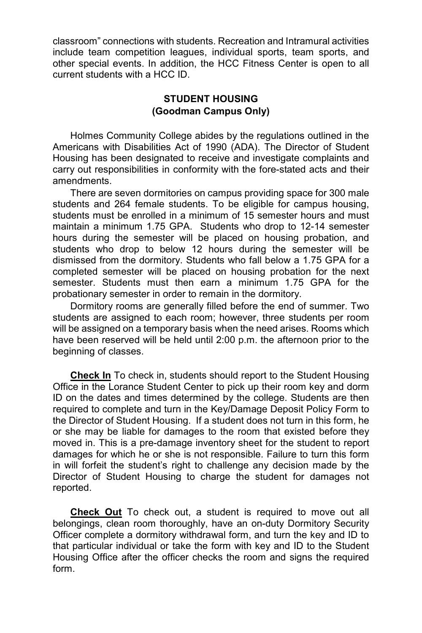classroom" connections with students. Recreation and Intramural activities include team competition leagues, individual sports, team sports, and other special events. In addition, the HCC Fitness Center is open to all current students with a HCC ID.

### **STUDENT HOUSING (Goodman Campus Only)**

Holmes Community College abides by the regulations outlined in the Americans with Disabilities Act of 1990 (ADA). The Director of Student Housing has been designated to receive and investigate complaints and carry out responsibilities in conformity with the fore-stated acts and their amendments.

There are seven dormitories on campus providing space for 300 male students and 264 female students. To be eligible for campus housing, students must be enrolled in a minimum of 15 semester hours and must maintain a minimum 1.75 GPA. Students who drop to 12-14 semester hours during the semester will be placed on housing probation, and students who drop to below 12 hours during the semester will be dismissed from the dormitory. Students who fall below a 1.75 GPA for a completed semester will be placed on housing probation for the next semester. Students must then earn a minimum 1.75 GPA for the probationary semester in order to remain in the dormitory.

Dormitory rooms are generally filled before the end of summer. Two students are assigned to each room; however, three students per room will be assigned on a temporary basis when the need arises. Rooms which have been reserved will be held until 2:00 p.m. the afternoon prior to the beginning of classes.

**Check In** To check in, students should report to the Student Housing Office in the Lorance Student Center to pick up their room key and dorm ID on the dates and times determined by the college. Students are then required to complete and turn in the Key/Damage Deposit Policy Form to the Director of Student Housing. If a student does not turn in this form, he or she may be liable for damages to the room that existed before they moved in. This is a pre-damage inventory sheet for the student to report damages for which he or she is not responsible. Failure to turn this form in will forfeit the student's right to challenge any decision made by the Director of Student Housing to charge the student for damages not reported.

**Check Out** To check out, a student is required to move out all belongings, clean room thoroughly, have an on-duty Dormitory Security Officer complete a dormitory withdrawal form, and turn the key and ID to that particular individual or take the form with key and ID to the Student Housing Office after the officer checks the room and signs the required form.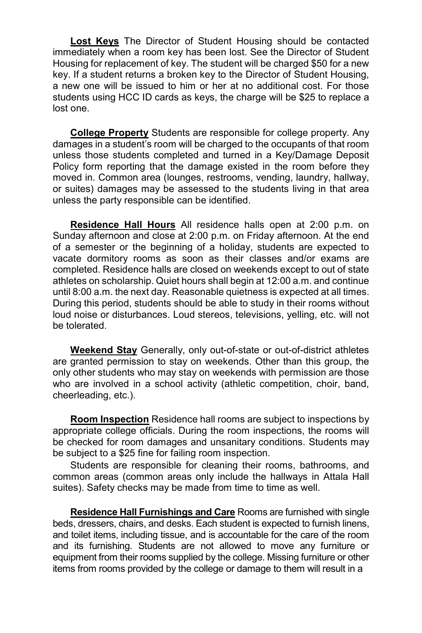**Lost Keys** The Director of Student Housing should be contacted immediately when a room key has been lost. See the Director of Student Housing for replacement of key. The student will be charged \$50 for a new key. If a student returns a broken key to the Director of Student Housing, a new one will be issued to him or her at no additional cost. For those students using HCC ID cards as keys, the charge will be \$25 to replace a lost one.

**College Property** Students are responsible for college property. Any damages in a student's room will be charged to the occupants of that room unless those students completed and turned in a Key/Damage Deposit Policy form reporting that the damage existed in the room before they moved in. Common area (lounges, restrooms, vending, laundry, hallway, or suites) damages may be assessed to the students living in that area unless the party responsible can be identified.

**Residence Hall Hours** All residence halls open at 2:00 p.m. on Sunday afternoon and close at 2:00 p.m. on Friday afternoon. At the end of a semester or the beginning of a holiday, students are expected to vacate dormitory rooms as soon as their classes and/or exams are completed. Residence halls are closed on weekends except to out of state athletes on scholarship. Quiet hours shall begin at 12:00 a.m. and continue until 8:00 a.m. the next day. Reasonable quietness is expected at all times. During this period, students should be able to study in their rooms without loud noise or disturbances. Loud stereos, televisions, yelling, etc. will not be tolerated.

**Weekend Stay** Generally, only out-of-state or out-of-district athletes are granted permission to stay on weekends. Other than this group, the only other students who may stay on weekends with permission are those who are involved in a school activity (athletic competition, choir, band, cheerleading, etc.).

**Room Inspection** Residence hall rooms are subject to inspections by appropriate college officials. During the room inspections, the rooms will be checked for room damages and unsanitary conditions. Students may be subject to a \$25 fine for failing room inspection.

Students are responsible for cleaning their rooms, bathrooms, and common areas (common areas only include the hallways in Attala Hall suites). Safety checks may be made from time to time as well.

**Residence Hall Furnishings and Care** Rooms are furnished with single beds, dressers, chairs, and desks. Each student is expected to furnish linens, and toilet items, including tissue, and is accountable for the care of the room and its furnishing. Students are not allowed to move any furniture or equipment from their rooms supplied by the college. Missing furniture or other items from rooms provided by the college or damage to them will result in a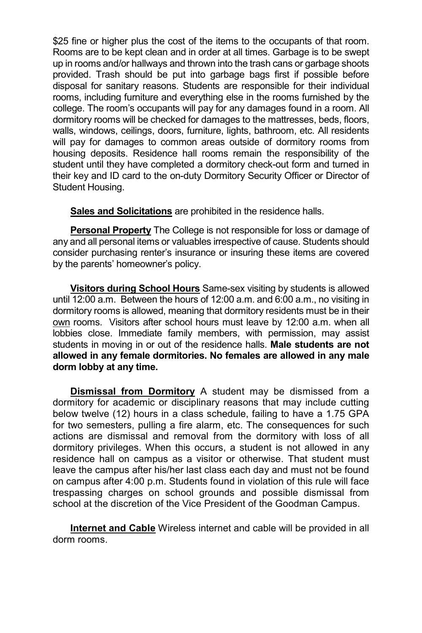\$25 fine or higher plus the cost of the items to the occupants of that room. Rooms are to be kept clean and in order at all times. Garbage is to be swept up in rooms and/or hallways and thrown into the trash cans or garbage shoots provided. Trash should be put into garbage bags first if possible before disposal for sanitary reasons. Students are responsible for their individual rooms, including furniture and everything else in the rooms furnished by the college. The room's occupants will pay for any damages found in a room. All dormitory rooms will be checked for damages to the mattresses, beds, floors, walls, windows, ceilings, doors, furniture, lights, bathroom, etc. All residents will pay for damages to common areas outside of dormitory rooms from housing deposits. Residence hall rooms remain the responsibility of the student until they have completed a dormitory check-out form and turned in their key and ID card to the on-duty Dormitory Security Officer or Director of Student Housing.

**Sales and Solicitations** are prohibited in the residence halls.

**Personal Property** The College is not responsible for loss or damage of any and all personal items or valuables irrespective of cause. Students should consider purchasing renter's insurance or insuring these items are covered by the parents' homeowner's policy.

**Visitors during School Hours** Same-sex visiting by students is allowed until 12:00 a.m. Between the hours of 12:00 a.m. and 6:00 a.m., no visiting in dormitory rooms is allowed, meaning that dormitory residents must be in their own rooms. Visitors after school hours must leave by 12:00 a.m. when all lobbies close. Immediate family members, with permission, may assist students in moving in or out of the residence halls. **Male students are not allowed in any female dormitories. No females are allowed in any male dorm lobby at any time.**

**Dismissal from Dormitory** A student may be dismissed from a dormitory for academic or disciplinary reasons that may include cutting below twelve (12) hours in a class schedule, failing to have a 1.75 GPA for two semesters, pulling a fire alarm, etc. The consequences for such actions are dismissal and removal from the dormitory with loss of all dormitory privileges. When this occurs, a student is not allowed in any residence hall on campus as a visitor or otherwise. That student must leave the campus after his/her last class each day and must not be found on campus after 4:00 p.m. Students found in violation of this rule will face trespassing charges on school grounds and possible dismissal from school at the discretion of the Vice President of the Goodman Campus.

**Internet and Cable** Wireless internet and cable will be provided in all dorm rooms.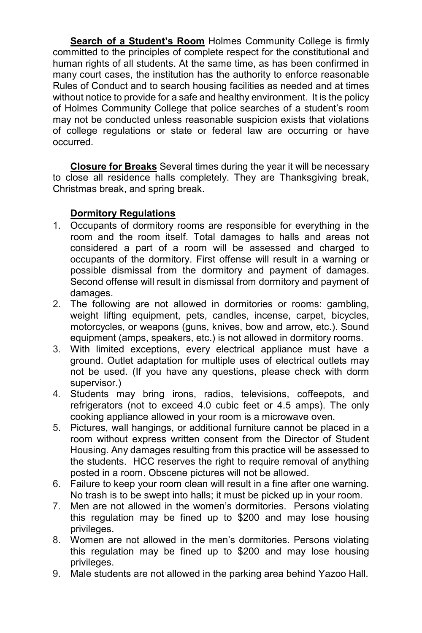**Search of a Student's Room** Holmes Community College is firmly committed to the principles of complete respect for the constitutional and human rights of all students. At the same time, as has been confirmed in many court cases, the institution has the authority to enforce reasonable Rules of Conduct and to search housing facilities as needed and at times without notice to provide for a safe and healthy environment. It is the policy of Holmes Community College that police searches of a student's room may not be conducted unless reasonable suspicion exists that violations of college regulations or state or federal law are occurring or have occurred.

**Closure for Breaks** Several times during the year it will be necessary to close all residence halls completely. They are Thanksgiving break, Christmas break, and spring break.

# **Dormitory Regulations**

- 1. Occupants of dormitory rooms are responsible for everything in the room and the room itself. Total damages to halls and areas not considered a part of a room will be assessed and charged to occupants of the dormitory. First offense will result in a warning or possible dismissal from the dormitory and payment of damages. Second offense will result in dismissal from dormitory and payment of damages.
- 2. The following are not allowed in dormitories or rooms: gambling, weight lifting equipment, pets, candles, incense, carpet, bicycles, motorcycles, or weapons (guns, knives, bow and arrow, etc.). Sound equipment (amps, speakers, etc.) is not allowed in dormitory rooms.
- 3. With limited exceptions, every electrical appliance must have a ground. Outlet adaptation for multiple uses of electrical outlets may not be used. (If you have any questions, please check with dorm supervisor.)
- 4. Students may bring irons, radios, televisions, coffeepots, and refrigerators (not to exceed 4.0 cubic feet or 4.5 amps). The only cooking appliance allowed in your room is a microwave oven.
- 5. Pictures, wall hangings, or additional furniture cannot be placed in a room without express written consent from the Director of Student Housing. Any damages resulting from this practice will be assessed to the students. HCC reserves the right to require removal of anything posted in a room. Obscene pictures will not be allowed.
- 6. Failure to keep your room clean will result in a fine after one warning. No trash is to be swept into halls; it must be picked up in your room.
- 7. Men are not allowed in the women's dormitories. Persons violating this regulation may be fined up to \$200 and may lose housing privileges.
- 8. Women are not allowed in the men's dormitories. Persons violating this regulation may be fined up to \$200 and may lose housing privileges.
- 9. Male students are not allowed in the parking area behind Yazoo Hall.